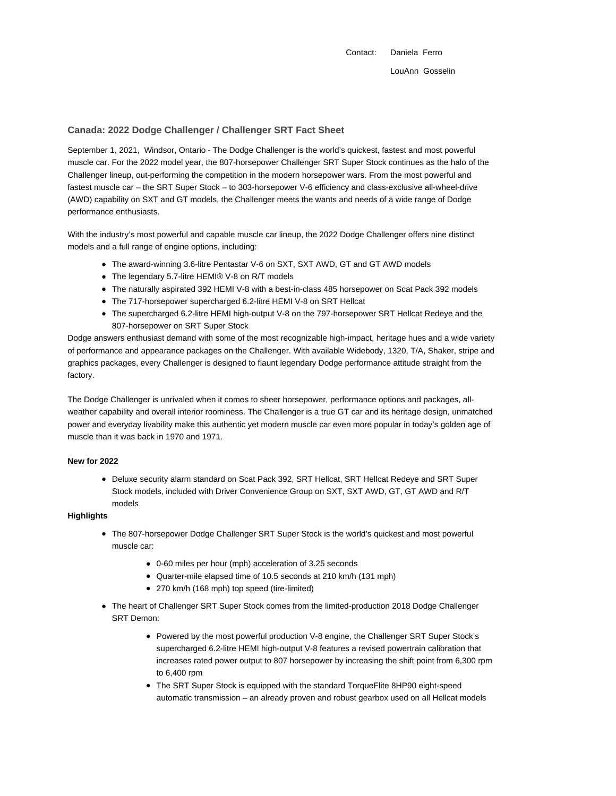Contact: Daniela Ferro LouAnn Gosselin

## **Canada: 2022 Dodge Challenger / Challenger SRT Fact Sheet**

September 1, 2021, Windsor, Ontario - The Dodge Challenger is the world's quickest, fastest and most powerful muscle car. For the 2022 model year, the 807-horsepower Challenger SRT Super Stock continues as the halo of the Challenger lineup, out-performing the competition in the modern horsepower wars. From the most powerful and fastest muscle car – the SRT Super Stock – to 303-horsepower V-6 efficiency and class-exclusive all-wheel-drive (AWD) capability on SXT and GT models, the Challenger meets the wants and needs of a wide range of Dodge performance enthusiasts.

With the industry's most powerful and capable muscle car lineup, the 2022 Dodge Challenger offers nine distinct models and a full range of engine options, including:

- The award-winning 3.6-litre Pentastar V-6 on SXT, SXT AWD, GT and GT AWD models
- The legendary 5.7-litre HEMI® V-8 on R/T models
- The naturally aspirated 392 HEMI V-8 with a best-in-class 485 horsepower on Scat Pack 392 models
- The 717-horsepower supercharged 6.2-litre HEMI V-8 on SRT Hellcat
- The supercharged 6.2-litre HEMI high-output V-8 on the 797-horsepower SRT Hellcat Redeye and the 807-horsepower on SRT Super Stock

Dodge answers enthusiast demand with some of the most recognizable high-impact, heritage hues and a wide variety of performance and appearance packages on the Challenger. With available Widebody, 1320, T/A, Shaker, stripe and graphics packages, every Challenger is designed to flaunt legendary Dodge performance attitude straight from the factory.

The Dodge Challenger is unrivaled when it comes to sheer horsepower, performance options and packages, allweather capability and overall interior roominess. The Challenger is a true GT car and its heritage design, unmatched power and everyday livability make this authentic yet modern muscle car even more popular in today's golden age of muscle than it was back in 1970 and 1971.

### **New for 2022**

Deluxe security alarm standard on Scat Pack 392, SRT Hellcat, SRT Hellcat Redeye and SRT Super Stock models, included with Driver Convenience Group on SXT, SXT AWD, GT, GT AWD and R/T models

### **Highlights**

- The 807-horsepower Dodge Challenger SRT Super Stock is the world's quickest and most powerful muscle car:
	- 0-60 miles per hour (mph) acceleration of 3.25 seconds
	- Quarter-mile elapsed time of 10.5 seconds at 210 km/h (131 mph)
	- 270 km/h (168 mph) top speed (tire-limited)
- The heart of Challenger SRT Super Stock comes from the limited-production 2018 Dodge Challenger SRT Demon:
	- Powered by the most powerful production V-8 engine, the Challenger SRT Super Stock's supercharged 6.2-litre HEMI high-output V-8 features a revised powertrain calibration that increases rated power output to 807 horsepower by increasing the shift point from 6,300 rpm to 6,400 rpm
	- The SRT Super Stock is equipped with the standard TorqueFlite 8HP90 eight-speed automatic transmission – an already proven and robust gearbox used on all Hellcat models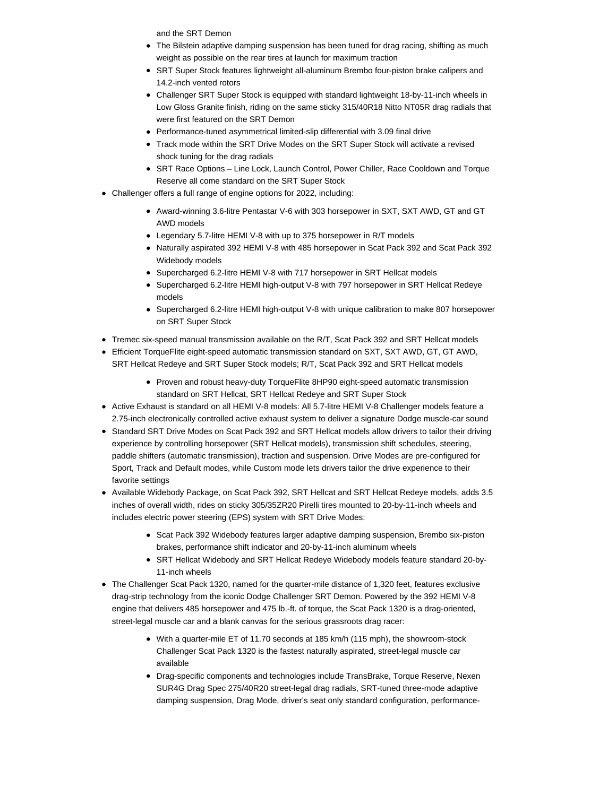and the SRT Demon

- The Bilstein adaptive damping suspension has been tuned for drag racing, shifting as much weight as possible on the rear tires at launch for maximum traction
- SRT Super Stock features lightweight all-aluminum Brembo four-piston brake calipers and 14.2-inch vented rotors
- Challenger SRT Super Stock is equipped with standard lightweight 18-by-11-inch wheels in Low Gloss Granite finish, riding on the same sticky 315/40R18 Nitto NT05R drag radials that were first featured on the SRT Demon
- Performance-tuned asymmetrical limited-slip differential with 3.09 final drive
- Track mode within the SRT Drive Modes on the SRT Super Stock will activate a revised shock tuning for the drag radials
- SRT Race Options Line Lock, Launch Control, Power Chiller, Race Cooldown and Torque Reserve all come standard on the SRT Super Stock
- Challenger offers a full range of engine options for 2022, including:
	- Award-winning 3.6-litre Pentastar V-6 with 303 horsepower in SXT, SXT AWD, GT and GT AWD models
	- Legendary 5.7-litre HEMI V-8 with up to 375 horsepower in R/T models
	- Naturally aspirated 392 HEMI V-8 with 485 horsepower in Scat Pack 392 and Scat Pack 392 Widebody models
	- Supercharged 6.2-litre HEMI V-8 with 717 horsepower in SRT Hellcat models
	- Supercharged 6.2-litre HEMI high-output V-8 with 797 horsepower in SRT Hellcat Redeye models
	- Supercharged 6.2-litre HEMI high-output V-8 with unique calibration to make 807 horsepower on SRT Super Stock
- Tremec six-speed manual transmission available on the R/T, Scat Pack 392 and SRT Hellcat models
- Efficient TorqueFlite eight-speed automatic transmission standard on SXT, SXT AWD, GT, GT AWD, SRT Hellcat Redeye and SRT Super Stock models; R/T, Scat Pack 392 and SRT Hellcat models
	- Proven and robust heavy-duty TorqueFlite 8HP90 eight-speed automatic transmission standard on SRT Hellcat, SRT Hellcat Redeye and SRT Super Stock
- Active Exhaust is standard on all HEMI V-8 models: All 5.7-litre HEMI V-8 Challenger models feature a 2.75-inch electronically controlled active exhaust system to deliver a signature Dodge muscle-car sound
- Standard SRT Drive Modes on Scat Pack 392 and SRT Hellcat models allow drivers to tailor their driving experience by controlling horsepower (SRT Hellcat models), transmission shift schedules, steering, paddle shifters (automatic transmission), traction and suspension. Drive Modes are pre-configured for Sport, Track and Default modes, while Custom mode lets drivers tailor the drive experience to their favorite settings
- Available Widebody Package, on Scat Pack 392, SRT Hellcat and SRT Hellcat Redeye models, adds 3.5 inches of overall width, rides on sticky 305/35ZR20 Pirelli tires mounted to 20-by-11-inch wheels and includes electric power steering (EPS) system with SRT Drive Modes:
	- Scat Pack 392 Widebody features larger adaptive damping suspension, Brembo six-piston brakes, performance shift indicator and 20-by-11-inch aluminum wheels
	- SRT Hellcat Widebody and SRT Hellcat Redeye Widebody models feature standard 20-by-11-inch wheels
- The Challenger Scat Pack 1320, named for the quarter-mile distance of 1,320 feet, features exclusive drag-strip technology from the iconic Dodge Challenger SRT Demon. Powered by the 392 HEMI V-8 engine that delivers 485 horsepower and 475 lb.-ft. of torque, the Scat Pack 1320 is a drag-oriented, street-legal muscle car and a blank canvas for the serious grassroots drag racer:
	- With a quarter-mile ET of 11.70 seconds at 185 km/h (115 mph), the showroom-stock Challenger Scat Pack 1320 is the fastest naturally aspirated, street-legal muscle car available
	- Drag-specific components and technologies include TransBrake, Torque Reserve, Nexen SUR4G Drag Spec 275/40R20 street-legal drag radials, SRT-tuned three-mode adaptive damping suspension, Drag Mode, driver's seat only standard configuration, performance-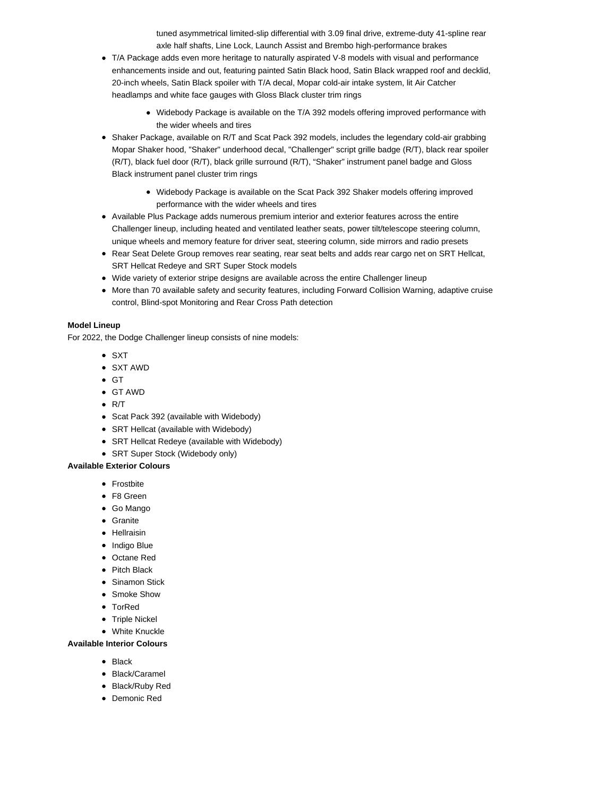tuned asymmetrical limited-slip differential with 3.09 final drive, extreme-duty 41-spline rear axle half shafts, Line Lock, Launch Assist and Brembo high-performance brakes

- T/A Package adds even more heritage to naturally aspirated V-8 models with visual and performance enhancements inside and out, featuring painted Satin Black hood, Satin Black wrapped roof and decklid, 20-inch wheels, Satin Black spoiler with T/A decal, Mopar cold-air intake system, lit Air Catcher headlamps and white face gauges with Gloss Black cluster trim rings
	- Widebody Package is available on the T/A 392 models offering improved performance with the wider wheels and tires
- Shaker Package, available on R/T and Scat Pack 392 models, includes the legendary cold-air grabbing Mopar Shaker hood, "Shaker" underhood decal, "Challenger" script grille badge (R/T), black rear spoiler (R/T), black fuel door (R/T), black grille surround (R/T), "Shaker" instrument panel badge and Gloss Black instrument panel cluster trim rings
	- Widebody Package is available on the Scat Pack 392 Shaker models offering improved performance with the wider wheels and tires
- Available Plus Package adds numerous premium interior and exterior features across the entire Challenger lineup, including heated and ventilated leather seats, power tilt/telescope steering column, unique wheels and memory feature for driver seat, steering column, side mirrors and radio presets
- Rear Seat Delete Group removes rear seating, rear seat belts and adds rear cargo net on SRT Hellcat, SRT Hellcat Redeye and SRT Super Stock models
- Wide variety of exterior stripe designs are available across the entire Challenger lineup
- More than 70 available safety and security features, including Forward Collision Warning, adaptive cruise control, Blind-spot Monitoring and Rear Cross Path detection

## **Model Lineup**

For 2022, the Dodge Challenger lineup consists of nine models:

- SXT
- SXT AWD
- $\bullet$  GT
- GT AWD
- $\bullet$  R/T
- Scat Pack 392 (available with Widebody)
- SRT Hellcat (available with Widebody)
- SRT Hellcat Redeye (available with Widebody)
- SRT Super Stock (Widebody only)

### **Available Exterior Colours**

- Frostbite
- F8 Green
- Go Mango
- Granite
- Hellraisin
- Indigo Blue
- Octane Red
- Pitch Black
- Sinamon Stick
- Smoke Show
- TorRed
- Triple Nickel
- White Knuckle

# **Available Interior Colours**

- $\bullet$  Black
- Black/Caramel
- Black/Ruby Red
- Demonic Red